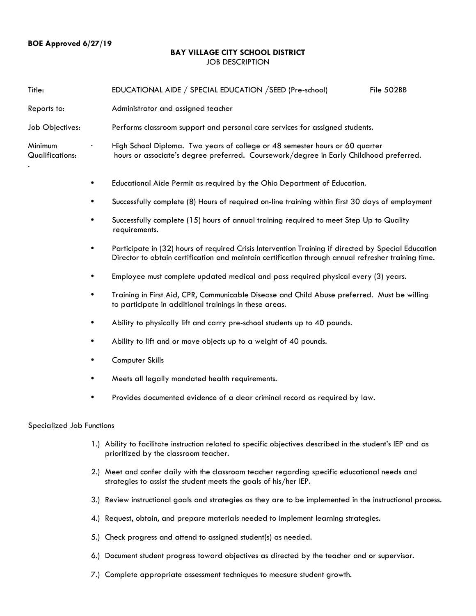## **BAY VILLAGE CITY SCHOOL DISTRICT** JOB DESCRIPTION

| Title:                            |   | EDUCATIONAL AIDE / SPECIAL EDUCATION / SEED (Pre-school)<br>File 502BB                                                                                                                                     |
|-----------------------------------|---|------------------------------------------------------------------------------------------------------------------------------------------------------------------------------------------------------------|
| Reports to:                       |   | Administrator and assigned teacher                                                                                                                                                                         |
| Job Objectives:                   |   | Performs classroom support and personal care services for assigned students.                                                                                                                               |
| Minimum<br><b>Qualifications:</b> |   | High School Diploma. Two years of college or 48 semester hours or 60 quarter<br>hours or associate's degree preferred. Coursework/degree in Early Childhood preferred.                                     |
|                                   | ٠ | Educational Aide Permit as required by the Ohio Department of Education.                                                                                                                                   |
|                                   | ٠ | Successfully complete (8) Hours of required on-line training within first 30 days of employment                                                                                                            |
|                                   | ٠ | Successfully complete (15) hours of annual training required to meet Step Up to Quality<br>requirements.                                                                                                   |
|                                   | ٠ | Participate in (32) hours of required Crisis Intervention Training if directed by Special Education<br>Director to obtain certification and maintain certification through annual refresher training time. |
|                                   | ٠ | Employee must complete updated medical and pass required physical every (3) years.                                                                                                                         |
|                                   | ٠ | Training in First Aid, CPR, Communicable Disease and Child Abuse preferred. Must be willing<br>to participate in additional trainings in these areas.                                                      |
|                                   | ٠ | Ability to physically lift and carry pre-school students up to 40 pounds.                                                                                                                                  |
|                                   | ٠ | Ability to lift and or move objects up to a weight of 40 pounds.                                                                                                                                           |
|                                   | ٠ | Computer Skills                                                                                                                                                                                            |
|                                   | ٠ | Meets all legally mandated health requirements.                                                                                                                                                            |
|                                   | ٠ | Provides documented evidence of a clear criminal record as required by law.                                                                                                                                |
| Specialized Job Functions         |   |                                                                                                                                                                                                            |
|                                   |   | 1.) Ability to facilitate instruction related to specific objectives described in the student's IEP and as<br>prioritized by the classroom teacher.                                                        |
|                                   |   | 2.) Meet and confer daily with the classroom teacher regarding specific educational needs and<br>strategies to assist the student meets the goals of his/her IEP.                                          |
|                                   |   | 3.) Review instructional goals and strategies as they are to be implemented in the instructional process.                                                                                                  |
|                                   |   | 4.) Request, obtain, and prepare materials needed to implement learning strategies.                                                                                                                        |
|                                   |   | 5.) Check progress and attend to assigned student(s) as needed.                                                                                                                                            |
|                                   |   | 6.) Document student progress toward objectives as directed by the teacher and or supervisor.                                                                                                              |

7.) Complete appropriate assessment techniques to measure student growth.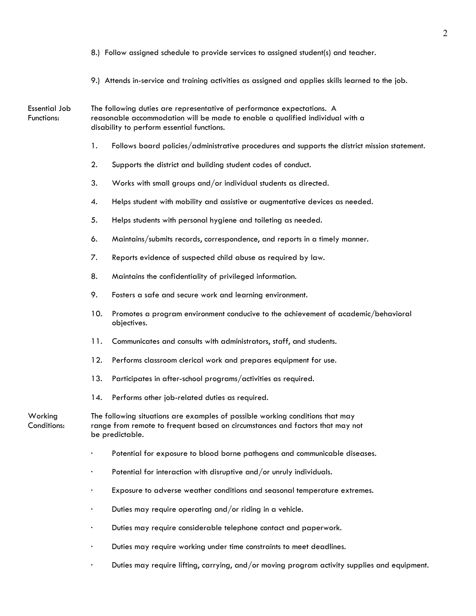- 8.) Follow assigned schedule to provide services to assigned student(s) and teacher.
- 9.) Attends in-service and training activities as assigned and applies skills learned to the job.

Essential Job The following duties are representative of performance expectations. A Functions: reasonable accommodation will be made to enable a qualified individual with a disability to perform essential functions.

- 1. Follows board policies/administrative procedures and supports the district mission statement.
- 2. Supports the district and building student codes of conduct.
- 3. Works with small groups and/or individual students as directed.
- 4. Helps student with mobility and assistive or augmentative devices as needed.
- 5. Helps students with personal hygiene and toileting as needed.
- 6. Maintains/submits records, correspondence, and reports in a timely manner.
- 7. Reports evidence of suspected child abuse as required by law.
- 8. Maintains the confidentiality of privileged information.
- 9. Fosters a safe and secure work and learning environment.
- 10. Promotes a program environment conducive to the achievement of academic/behavioral objectives.
- 11. Communicates and consults with administrators, staff, and students.
- 12. Performs classroom clerical work and prepares equipment for use.
- 13. Participates in after-school programs/activities as required.
- 14. Performs other job-related duties as required.

Working The following situations are examples of possible working conditions that may Conditions: range from remote to frequent based on circumstances and factors that may not be predictable.

- Potential for exposure to blood borne pathogens and communicable diseases.
- Potential for interaction with disruptive and/or unruly individuals.
- Exposure to adverse weather conditions and seasonal temperature extremes.
- Duties may require operating and/or riding in a vehicle.
- · Duties may require considerable telephone contact and paperwork.
- · Duties may require working under time constraints to meet deadlines.
- · Duties may require lifting, carrying, and/or moving program activity supplies and equipment.